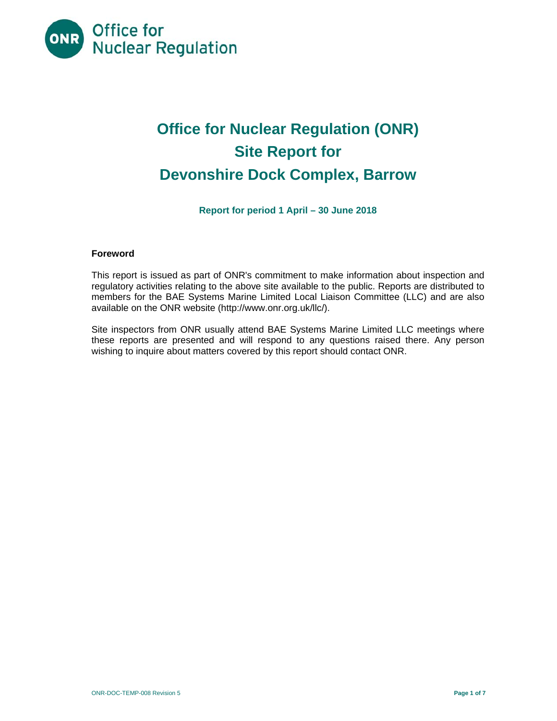

# **Office for Nuclear Regulation (ONR) Site Report for Devonshire Dock Complex, Barrow**

**Report for period 1 April – 30 June 2018** 

# **Foreword**

This report is issued as part of ONR's commitment to make information about inspection and regulatory activities relating to the above site available to the public. Reports are distributed to members for the BAE Systems Marine Limited Local Liaison Committee (LLC) and are also available on the ONR website (http://www.onr.org.uk/llc/).

Site inspectors from ONR usually attend BAE Systems Marine Limited LLC meetings where these reports are presented and will respond to any questions raised there. Any person wishing to inquire about matters covered by this report should contact ONR.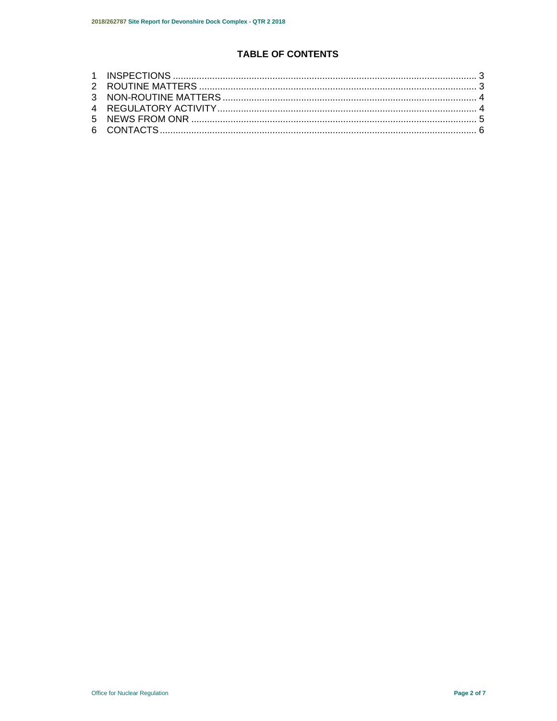# **TABLE OF CONTENTS**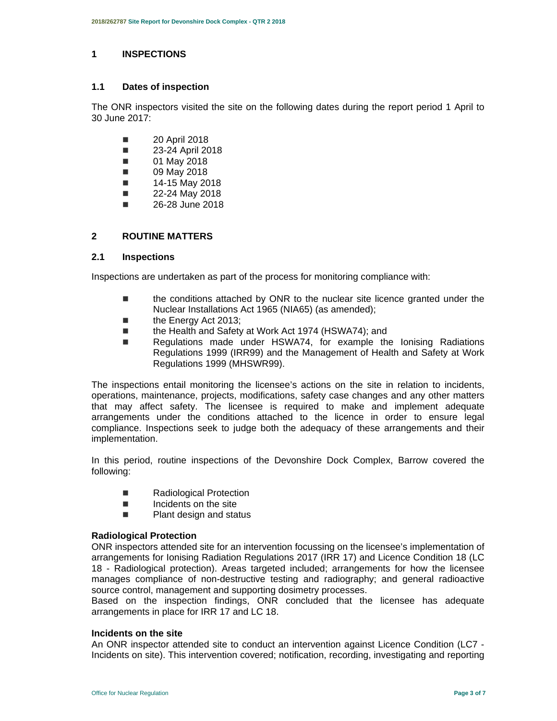#### **1 INSPECTIONS**

#### **1.1 Dates of inspection**

The ONR inspectors visited the site on the following dates during the report period 1 April to 30 June 2017:

- **20 April 2018**
- **23-24 April 2018**
- **01 May 2018**
- 09 May 2018
- $\blacksquare$  14-15 May 2018
- $\blacksquare$  22-24 May 2018
- 26-28 June 2018

### **2 ROUTINE MATTERS**

#### **2.1 Inspections**

Inspections are undertaken as part of the process for monitoring compliance with:

- the conditions attached by ONR to the nuclear site licence granted under the Nuclear Installations Act 1965 (NIA65) (as amended);
- the Energy Act 2013;
- the Health and Safety at Work Act 1974 (HSWA74); and
- Regulations made under HSWA74, for example the lonising Radiations Regulations 1999 (IRR99) and the Management of Health and Safety at Work Regulations 1999 (MHSWR99).

The inspections entail monitoring the licensee's actions on the site in relation to incidents, operations, maintenance, projects, modifications, safety case changes and any other matters that may affect safety. The licensee is required to make and implement adequate arrangements under the conditions attached to the licence in order to ensure legal compliance. Inspections seek to judge both the adequacy of these arrangements and their implementation.

In this period, routine inspections of the Devonshire Dock Complex, Barrow covered the following:

- Radiological Protection
- $\blacksquare$  Incidents on the site
- **Plant design and status**

#### **Radiological Protection**

ONR inspectors attended site for an intervention focussing on the licensee's implementation of arrangements for Ionising Radiation Regulations 2017 (IRR 17) and Licence Condition 18 (LC 18 - Radiological protection). Areas targeted included; arrangements for how the licensee manages compliance of non-destructive testing and radiography; and general radioactive source control, management and supporting dosimetry processes.

Based on the inspection findings, ONR concluded that the licensee has adequate arrangements in place for IRR 17 and LC 18.

#### **Incidents on the site**

An ONR inspector attended site to conduct an intervention against Licence Condition (LC7 - Incidents on site). This intervention covered; notification, recording, investigating and reporting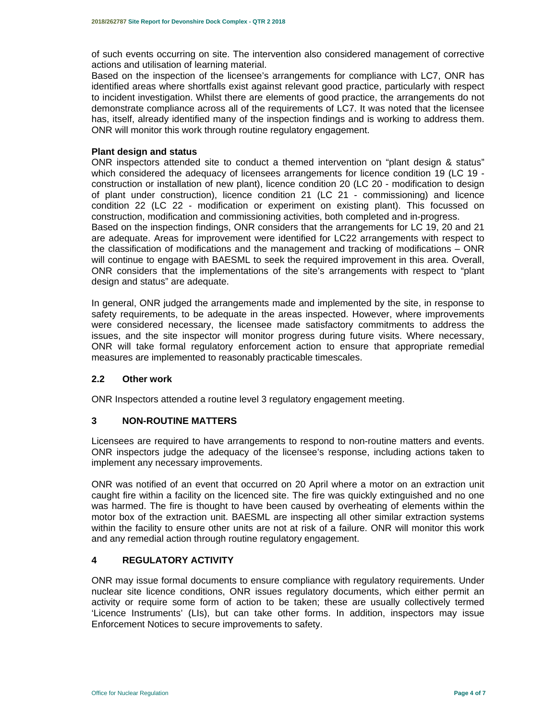of such events occurring on site. The intervention also considered management of corrective actions and utilisation of learning material.

Based on the inspection of the licensee's arrangements for compliance with LC7, ONR has identified areas where shortfalls exist against relevant good practice, particularly with respect to incident investigation. Whilst there are elements of good practice, the arrangements do not demonstrate compliance across all of the requirements of LC7. It was noted that the licensee has, itself, already identified many of the inspection findings and is working to address them. ONR will monitor this work through routine regulatory engagement.

#### **Plant design and status**

ONR inspectors attended site to conduct a themed intervention on "plant design & status" which considered the adequacy of licensees arrangements for licence condition 19 (LC 19 construction or installation of new plant), licence condition 20 (LC 20 - modification to design of plant under construction), licence condition 21 (LC 21 - commissioning) and licence condition 22 (LC 22 - modification or experiment on existing plant). This focussed on construction, modification and commissioning activities, both completed and in-progress. Based on the inspection findings, ONR considers that the arrangements for LC 19, 20 and 21 are adequate. Areas for improvement were identified for LC22 arrangements with respect to the classification of modifications and the management and tracking of modifications – ONR will continue to engage with BAESML to seek the required improvement in this area. Overall, ONR considers that the implementations of the site's arrangements with respect to "plant design and status" are adequate.

In general, ONR judged the arrangements made and implemented by the site, in response to safety requirements, to be adequate in the areas inspected. However, where improvements were considered necessary, the licensee made satisfactory commitments to address the issues, and the site inspector will monitor progress during future visits. Where necessary, ONR will take formal regulatory enforcement action to ensure that appropriate remedial measures are implemented to reasonably practicable timescales.

#### **2.2 Other work**

ONR Inspectors attended a routine level 3 regulatory engagement meeting.

#### **3 NON-ROUTINE MATTERS**

Licensees are required to have arrangements to respond to non-routine matters and events. ONR inspectors judge the adequacy of the licensee's response, including actions taken to implement any necessary improvements.

ONR was notified of an event that occurred on 20 April where a motor on an extraction unit caught fire within a facility on the licenced site. The fire was quickly extinguished and no one was harmed. The fire is thought to have been caused by overheating of elements within the motor box of the extraction unit. BAESML are inspecting all other similar extraction systems within the facility to ensure other units are not at risk of a failure. ONR will monitor this work and any remedial action through routine regulatory engagement.

# **4 REGULATORY ACTIVITY**

ONR may issue formal documents to ensure compliance with regulatory requirements. Under nuclear site licence conditions, ONR issues regulatory documents, which either permit an activity or require some form of action to be taken; these are usually collectively termed 'Licence Instruments' (LIs), but can take other forms. In addition, inspectors may issue Enforcement Notices to secure improvements to safety.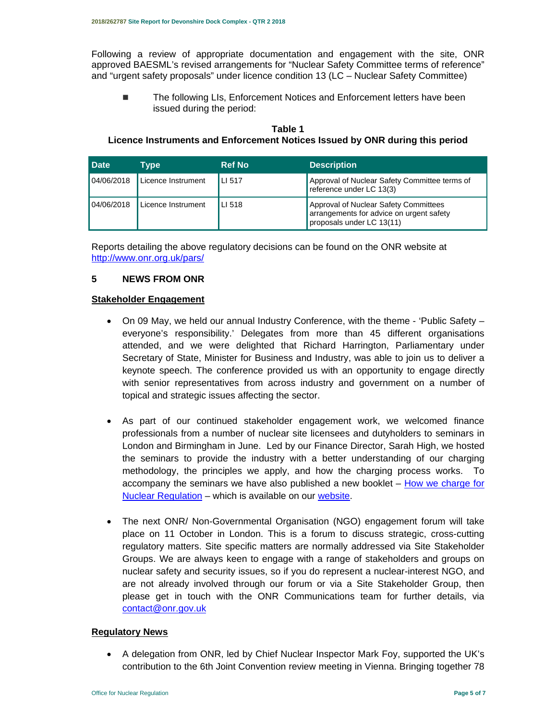Following a review of appropriate documentation and engagement with the site, ONR approved BAESML's revised arrangements for "Nuclear Safety Committee terms of reference" and "urgent safety proposals" under licence condition 13 (LC – Nuclear Safety Committee)

■ The following LIs, Enforcement Notices and Enforcement letters have been issued during the period:

# **Table 1 Licence Instruments and Enforcement Notices Issued by ONR during this period**

| <b>Date</b> | Type               | <b>Ref No</b> | <b>Description</b>                                                                                             |
|-------------|--------------------|---------------|----------------------------------------------------------------------------------------------------------------|
| 04/06/2018  | Licence Instrument | LI 517        | Approval of Nuclear Safety Committee terms of<br>reference under LC 13(3)                                      |
| 04/06/2018  | Licence Instrument | LI 518        | Approval of Nuclear Safety Committees<br>arrangements for advice on urgent safety<br>proposals under LC 13(11) |

Reports detailing the above regulatory decisions can be found on the ONR website at http://www.onr.org.uk/pars/

#### **5 NEWS FROM ONR**

#### **Stakeholder Engagement**

- On 09 May, we held our annual Industry Conference, with the theme 'Public Safety everyone's responsibility.' Delegates from more than 45 different organisations attended, and we were delighted that Richard Harrington, Parliamentary under Secretary of State, Minister for Business and Industry, was able to join us to deliver a keynote speech. The conference provided us with an opportunity to engage directly with senior representatives from across industry and government on a number of topical and strategic issues affecting the sector.
- As part of our continued stakeholder engagement work, we welcomed finance professionals from a number of nuclear site licensees and dutyholders to seminars in London and Birmingham in June. Led by our Finance Director, Sarah High, we hosted the seminars to provide the industry with a better understanding of our charging methodology, the principles we apply, and how the charging process works. To accompany the seminars we have also published a new booklet – How we charge for Nuclear Regulation – which is available on our website.
- The next ONR/ Non-Governmental Organisation (NGO) engagement forum will take place on 11 October in London. This is a forum to discuss strategic, cross-cutting regulatory matters. Site specific matters are normally addressed via Site Stakeholder Groups. We are always keen to engage with a range of stakeholders and groups on nuclear safety and security issues, so if you do represent a nuclear-interest NGO, and are not already involved through our forum or via a Site Stakeholder Group, then please get in touch with the ONR Communications team for further details, via contact@onr.gov.uk

#### **Regulatory News**

 A delegation from ONR, led by Chief Nuclear Inspector Mark Foy, supported the UK's contribution to the 6th Joint Convention review meeting in Vienna. Bringing together 78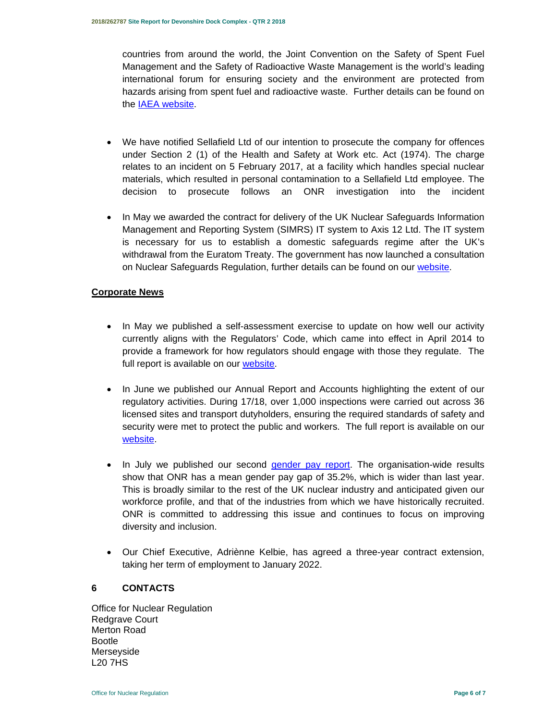countries from around the world, the Joint Convention on the Safety of Spent Fuel Management and the Safety of Radioactive Waste Management is the world's leading international forum for ensuring society and the environment are protected from hazards arising from spent fuel and radioactive waste. Further details can be found on the IAEA website.

- We have notified Sellafield Ltd of our intention to prosecute the company for offences under Section 2 (1) of the Health and Safety at Work etc. Act (1974). The charge relates to an incident on 5 February 2017, at a facility which handles special nuclear materials, which resulted in personal contamination to a Sellafield Ltd employee. The decision to prosecute follows an ONR investigation into the incident
- In May we awarded the contract for delivery of the UK Nuclear Safeguards Information Management and Reporting System (SIMRS) IT system to Axis 12 Ltd. The IT system is necessary for us to establish a domestic safeguards regime after the UK's withdrawal from the Euratom Treaty. The government has now launched a consultation on Nuclear Safeguards Regulation, further details can be found on our website.

# **Corporate News**

- In May we published a self-assessment exercise to update on how well our activity currently aligns with the Regulators' Code, which came into effect in April 2014 to provide a framework for how regulators should engage with those they regulate. The full report is available on our website.
- In June we published our Annual Report and Accounts highlighting the extent of our regulatory activities. During 17/18, over 1,000 inspections were carried out across 36 licensed sites and transport dutyholders, ensuring the required standards of safety and security were met to protect the public and workers. The full report is available on our website.
- In July we published our second *gender pay report*. The organisation-wide results show that ONR has a mean gender pay gap of 35.2%, which is wider than last year. This is broadly similar to the rest of the UK nuclear industry and anticipated given our workforce profile, and that of the industries from which we have historically recruited. ONR is committed to addressing this issue and continues to focus on improving diversity and inclusion.
- Our Chief Executive, Adriènne Kelbie, has agreed a three-year contract extension, taking her term of employment to January 2022.

#### **6 CONTACTS**

Office for Nuclear Regulation Redgrave Court Merton Road Bootle Merseyside L20 7HS